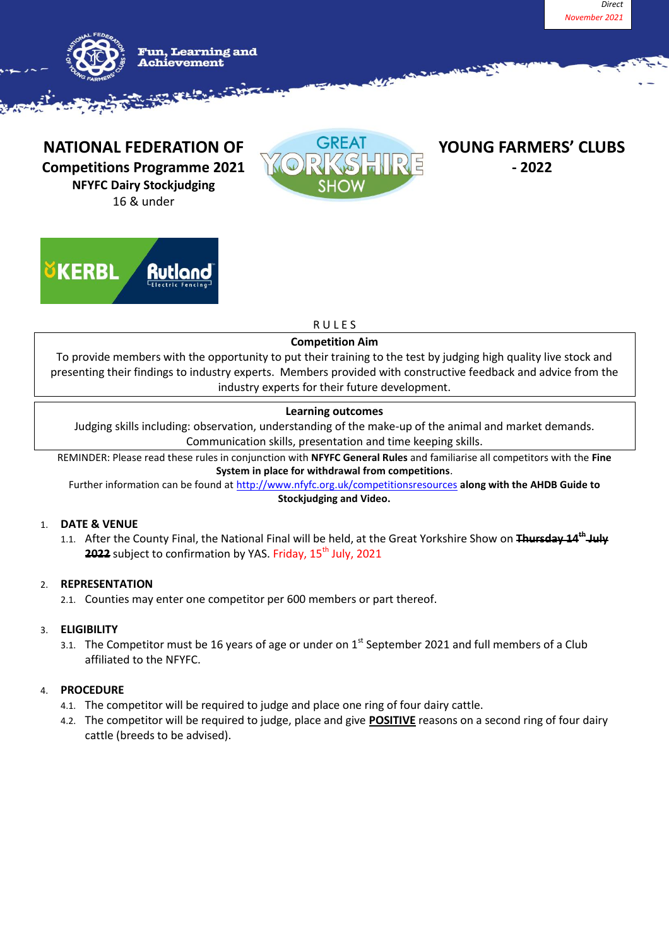



**NATIONAL FEDERATION OF SEE OREAL PROUNG FARMERS' CLUBS Competitions Programme 2021 - 2022 NFYFC Dairy Stockjudging** 16 & under





# R U L E S

## **Competition Aim**

To provide members with the opportunity to put their training to the test by judging high quality live stock and presenting their findings to industry experts. Members provided with constructive feedback and advice from the industry experts for their future development.

## **Learning outcomes**

Judging skills including: observation, understanding of the make-up of the animal and market demands. Communication skills, presentation and time keeping skills.

REMINDER: Please read these rules in conjunction with **NFYFC General Rules** and familiarise all competitors with the **Fine System in place for withdrawal from competitions**.

Further information can be found at<http://www.nfyfc.org.uk/competitionsresources> **along with the AHDB Guide to Stockjudging and Video.**

## 1. **DATE & VENUE**

1.1. After the County Final, the National Final will be held, at the Great Yorkshire Show on **Thursday 14 th July 2022** subject to confirmation by YAS. Friday, 15<sup>th</sup> July, 2021

## 2. **REPRESENTATION**

2.1. Counties may enter one competitor per 600 members or part thereof.

## 3. **ELIGIBILITY**

3.1. The Competitor must be 16 years of age or under on  $1<sup>st</sup>$  September 2021 and full members of a Club affiliated to the NFYFC.

## 4. **PROCEDURE**

- 4.1. The competitor will be required to judge and place one ring of four dairy cattle.
- 4.2. The competitor will be required to judge, place and give **POSITIVE** reasons on a second ring of four dairy cattle (breeds to be advised).